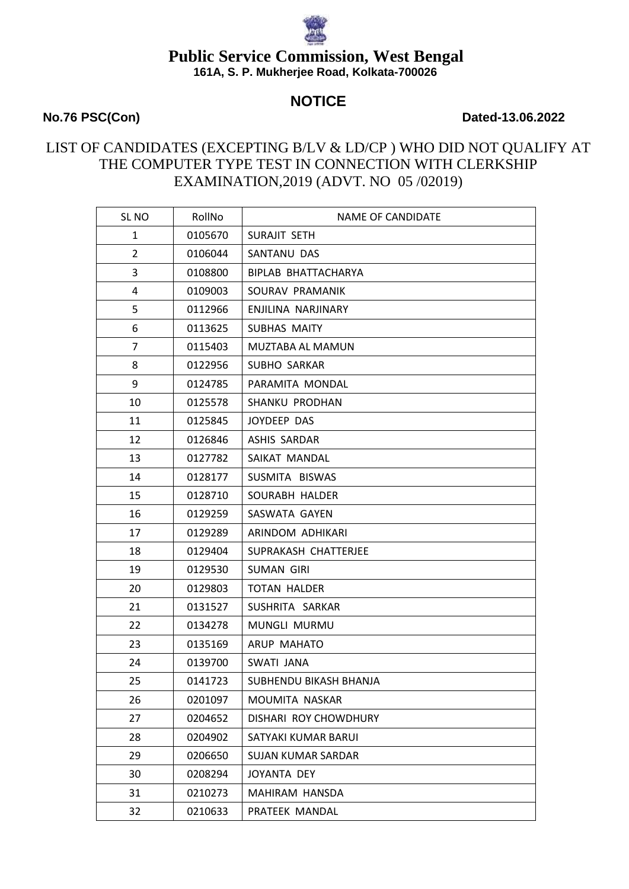# **NOTICE**

#### **No.76 PSC(Con) Dated-13.06.2022**

## LIST OF CANDIDATES (EXCEPTING B/LV & LD/CP ) WHO DID NOT QUALIFY AT THE COMPUTER TYPE TEST IN CONNECTION WITH CLERKSHIP EXAMINATION,2019 (ADVT. NO 05 /02019)

| SL <sub>NO</sub> | RollNo  | NAME OF CANDIDATE         |
|------------------|---------|---------------------------|
| $\mathbf{1}$     | 0105670 | SURAJIT SETH              |
| $\overline{2}$   | 0106044 | SANTANU DAS               |
| 3                | 0108800 | BIPLAB BHATTACHARYA       |
| 4                | 0109003 | SOURAV PRAMANIK           |
| 5                | 0112966 | ENJILINA NARJINARY        |
| 6                | 0113625 | SUBHAS MAITY              |
| $\overline{7}$   | 0115403 | MUZTABA AL MAMUN          |
| 8                | 0122956 | SUBHO SARKAR              |
| 9                | 0124785 | PARAMITA MONDAL           |
| 10               | 0125578 | SHANKU PRODHAN            |
| 11               | 0125845 | JOYDEEP DAS               |
| 12               | 0126846 | ASHIS SARDAR              |
| 13               | 0127782 | SAIKAT MANDAL             |
| 14               | 0128177 | SUSMITA BISWAS            |
| 15               | 0128710 | SOURABH HALDER            |
| 16               | 0129259 | SASWATA GAYEN             |
| 17               | 0129289 | ARINDOM ADHIKARI          |
| 18               | 0129404 | SUPRAKASH CHATTERJEE      |
| 19               | 0129530 | <b>SUMAN GIRI</b>         |
| 20               | 0129803 | <b>TOTAN HALDER</b>       |
| 21               | 0131527 | SUSHRITA SARKAR           |
| 22               | 0134278 | MUNGLI MURMU              |
| 23               | 0135169 | ARUP MAHATO               |
| 24               | 0139700 | SWATI JANA                |
| 25               | 0141723 | SUBHENDU BIKASH BHANJA    |
| 26               | 0201097 | MOUMITA NASKAR            |
| 27               | 0204652 | DISHARI ROY CHOWDHURY     |
| 28               | 0204902 | SATYAKI KUMAR BARUI       |
| 29               | 0206650 | <b>SUJAN KUMAR SARDAR</b> |
| 30               | 0208294 | JOYANTA DEY               |
| 31               | 0210273 | <b>MAHIRAM HANSDA</b>     |
| 32               | 0210633 | PRATEEK MANDAL            |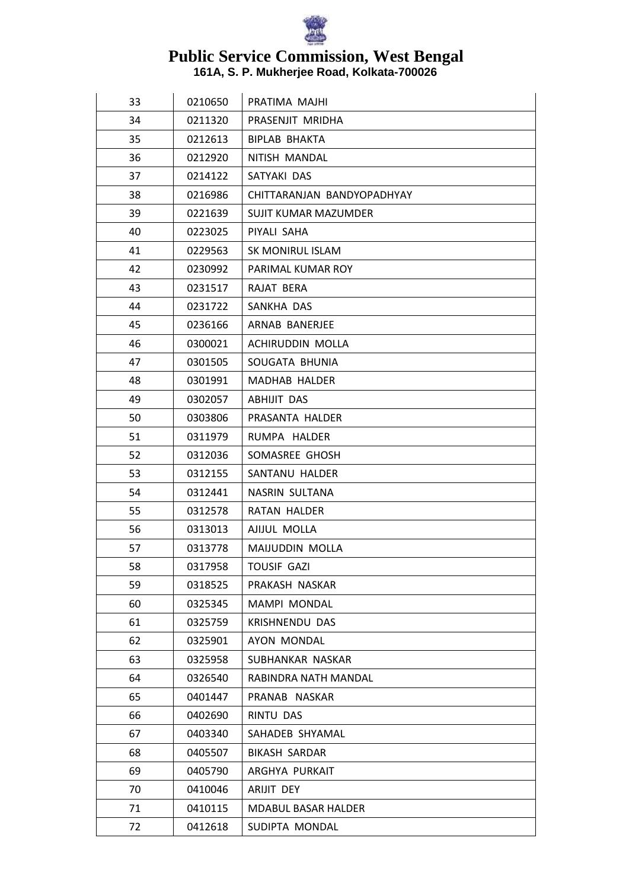

| 33 | 0210650 | PRATIMA MAJHI              |
|----|---------|----------------------------|
| 34 | 0211320 | PRASENJIT MRIDHA           |
| 35 | 0212613 | BIPLAB BHAKTA              |
| 36 | 0212920 | NITISH MANDAL              |
| 37 | 0214122 | SATYAKI DAS                |
| 38 | 0216986 | CHITTARANJAN BANDYOPADHYAY |
| 39 | 0221639 | SUJIT KUMAR MAZUMDER       |
| 40 | 0223025 | PIYALI SAHA                |
| 41 | 0229563 | <b>SK MONIRUL ISLAM</b>    |
| 42 | 0230992 | PARIMAL KUMAR ROY          |
| 43 | 0231517 | RAJAT BERA                 |
| 44 | 0231722 | SANKHA DAS                 |
| 45 | 0236166 | ARNAB BANERJEE             |
| 46 | 0300021 | ACHIRUDDIN MOLLA           |
| 47 | 0301505 | SOUGATA BHUNIA             |
| 48 | 0301991 | <b>MADHAB HALDER</b>       |
| 49 | 0302057 | ABHIJIT DAS                |
| 50 | 0303806 | PRASANTA HALDER            |
| 51 | 0311979 | RUMPA HALDER               |
| 52 | 0312036 | SOMASREE GHOSH             |
| 53 | 0312155 | SANTANU HALDER             |
| 54 | 0312441 | NASRIN SULTANA             |
| 55 | 0312578 | <b>RATAN HALDER</b>        |
| 56 | 0313013 | AJIJUL MOLLA               |
| 57 | 0313778 | <b>MAIJUDDIN MOLLA</b>     |
| 58 | 0317958 | <b>TOUSIF GAZI</b>         |
| 59 | 0318525 | PRAKASH NASKAR             |
| 60 | 0325345 | MAMPI MONDAL               |
| 61 | 0325759 | KRISHNENDU DAS             |
| 62 | 0325901 | AYON MONDAL                |
| 63 | 0325958 | SUBHANKAR NASKAR           |
| 64 | 0326540 | RABINDRA NATH MANDAL       |
| 65 | 0401447 | PRANAB NASKAR              |
| 66 | 0402690 | RINTU DAS                  |
| 67 | 0403340 | SAHADEB SHYAMAL            |
| 68 | 0405507 | <b>BIKASH SARDAR</b>       |
| 69 | 0405790 | ARGHYA PURKAIT             |
| 70 | 0410046 | ARIJIT DEY                 |
| 71 | 0410115 | <b>MDABUL BASAR HALDER</b> |
| 72 | 0412618 | SUDIPTA MONDAL             |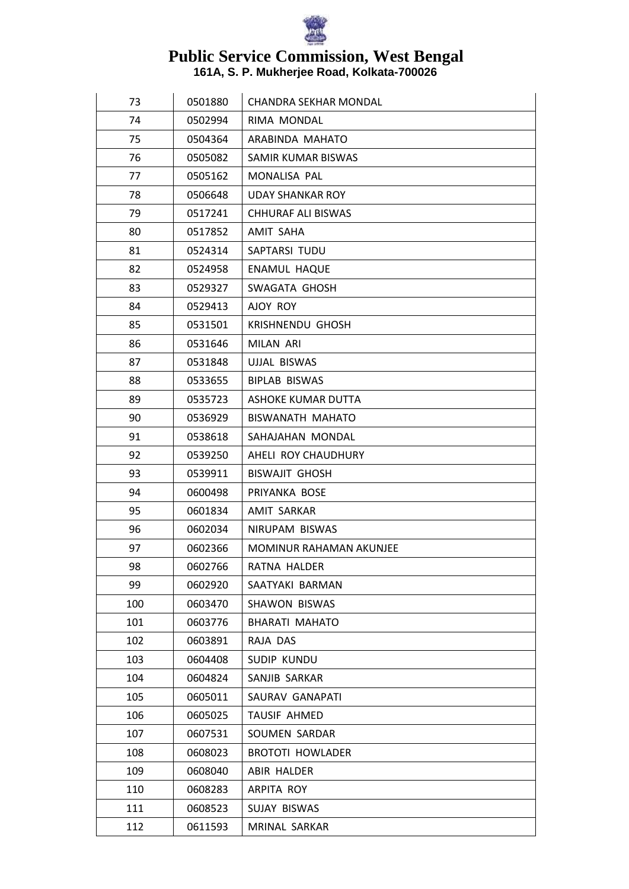

| 73  | 0501880 | <b>CHANDRA SEKHAR MONDAL</b>   |
|-----|---------|--------------------------------|
| 74  | 0502994 | RIMA MONDAL                    |
| 75  | 0504364 | ARABINDA MAHATO                |
| 76  | 0505082 | SAMIR KUMAR BISWAS             |
| 77  | 0505162 | MONALISA PAL                   |
| 78  | 0506648 | <b>UDAY SHANKAR ROY</b>        |
| 79  | 0517241 | CHHURAF ALI BISWAS             |
| 80  | 0517852 | AMIT SAHA                      |
| 81  | 0524314 | SAPTARSI TUDU                  |
| 82  | 0524958 | ENAMUL HAQUE                   |
| 83  | 0529327 | SWAGATA GHOSH                  |
| 84  | 0529413 | AJOY ROY                       |
| 85  | 0531501 | <b>KRISHNENDU GHOSH</b>        |
| 86  | 0531646 | <b>MILAN ARI</b>               |
| 87  | 0531848 | UJJAL BISWAS                   |
| 88  | 0533655 | <b>BIPLAB BISWAS</b>           |
| 89  | 0535723 | ASHOKE KUMAR DUTTA             |
| 90  | 0536929 | <b>BISWANATH MAHATO</b>        |
| 91  | 0538618 | SAHAJAHAN MONDAL               |
| 92  | 0539250 | AHELI ROY CHAUDHURY            |
| 93  | 0539911 | <b>BISWAJIT GHOSH</b>          |
| 94  | 0600498 | PRIYANKA BOSE                  |
| 95  | 0601834 | AMIT SARKAR                    |
| 96  | 0602034 | NIRUPAM BISWAS                 |
| 97  | 0602366 | <b>MOMINUR RAHAMAN AKUNJEE</b> |
| 98  | 0602766 | RATNA HALDER                   |
| 99  | 0602920 | SAATYAKI BARMAN                |
| 100 | 0603470 | <b>SHAWON BISWAS</b>           |
| 101 | 0603776 | <b>BHARATI MAHATO</b>          |
| 102 | 0603891 | RAJA DAS                       |
| 103 | 0604408 | SUDIP KUNDU                    |
| 104 | 0604824 | SANJIB SARKAR                  |
| 105 | 0605011 | SAURAV GANAPATI                |
| 106 | 0605025 | TAUSIF AHMED                   |
| 107 | 0607531 | SOUMEN SARDAR                  |
| 108 | 0608023 | <b>BROTOTI HOWLADER</b>        |
| 109 | 0608040 | ABIR HALDER                    |
| 110 | 0608283 | ARPITA ROY                     |
| 111 | 0608523 | SUJAY BISWAS                   |
| 112 | 0611593 | MRINAL SARKAR                  |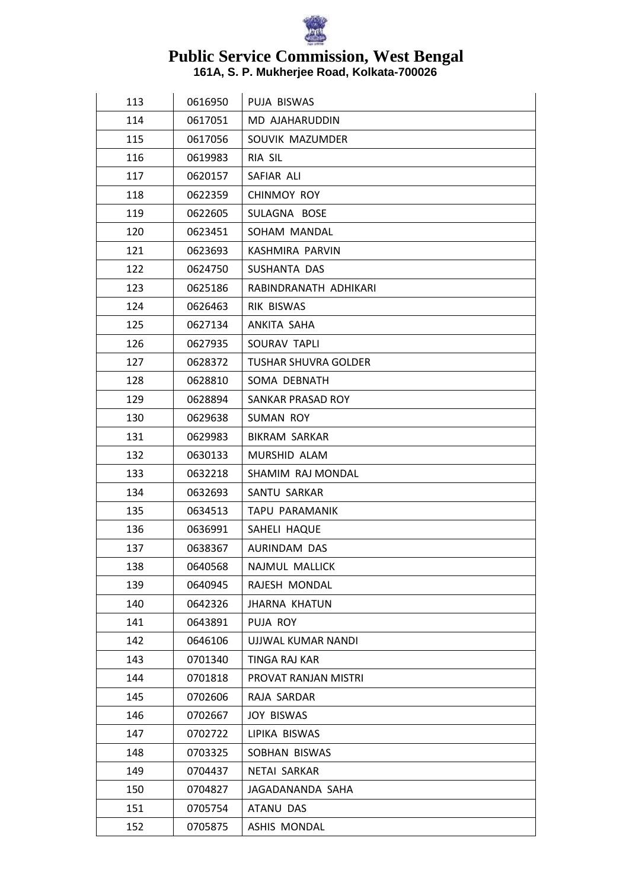

| 113 | 0616950 | PUJA BISWAS                 |
|-----|---------|-----------------------------|
| 114 | 0617051 | MD AJAHARUDDIN              |
| 115 | 0617056 | SOUVIK MAZUMDER             |
| 116 | 0619983 | RIA SIL                     |
| 117 | 0620157 | SAFIAR ALI                  |
| 118 | 0622359 | <b>CHINMOY ROY</b>          |
| 119 | 0622605 | SULAGNA BOSE                |
| 120 | 0623451 | SOHAM MANDAL                |
| 121 | 0623693 | KASHMIRA PARVIN             |
| 122 | 0624750 | SUSHANTA DAS                |
| 123 | 0625186 | RABINDRANATH ADHIKARI       |
| 124 | 0626463 | RIK BISWAS                  |
| 125 | 0627134 | ANKITA SAHA                 |
| 126 | 0627935 | SOURAV TAPLI                |
| 127 | 0628372 | <b>TUSHAR SHUVRA GOLDER</b> |
| 128 | 0628810 | SOMA DEBNATH                |
| 129 | 0628894 | SANKAR PRASAD ROY           |
| 130 | 0629638 | SUMAN ROY                   |
| 131 | 0629983 | <b>BIKRAM SARKAR</b>        |
| 132 | 0630133 | MURSHID ALAM                |
| 133 | 0632218 | SHAMIM RAJ MONDAL           |
| 134 | 0632693 | SANTU SARKAR                |
| 135 | 0634513 | TAPU PARAMANIK              |
| 136 | 0636991 | SAHELI HAQUE                |
| 137 | 0638367 | AURINDAM DAS                |
| 138 | 0640568 | NAJMUL MALLICK              |
| 139 | 0640945 | RAJESH MONDAL               |
| 140 | 0642326 | <b>JHARNA KHATUN</b>        |
| 141 | 0643891 | PUJA ROY                    |
| 142 | 0646106 | UJJWAL KUMAR NANDI          |
| 143 | 0701340 | TINGA RAJ KAR               |
| 144 | 0701818 | PROVAT RANJAN MISTRI        |
| 145 | 0702606 | RAJA SARDAR                 |
| 146 | 0702667 | <b>JOY BISWAS</b>           |
| 147 | 0702722 | LIPIKA BISWAS               |
| 148 | 0703325 | SOBHAN BISWAS               |
| 149 | 0704437 | NETAI SARKAR                |
| 150 | 0704827 | JAGADANANDA SAHA            |
| 151 | 0705754 | ATANU DAS                   |
| 152 | 0705875 | ASHIS MONDAL                |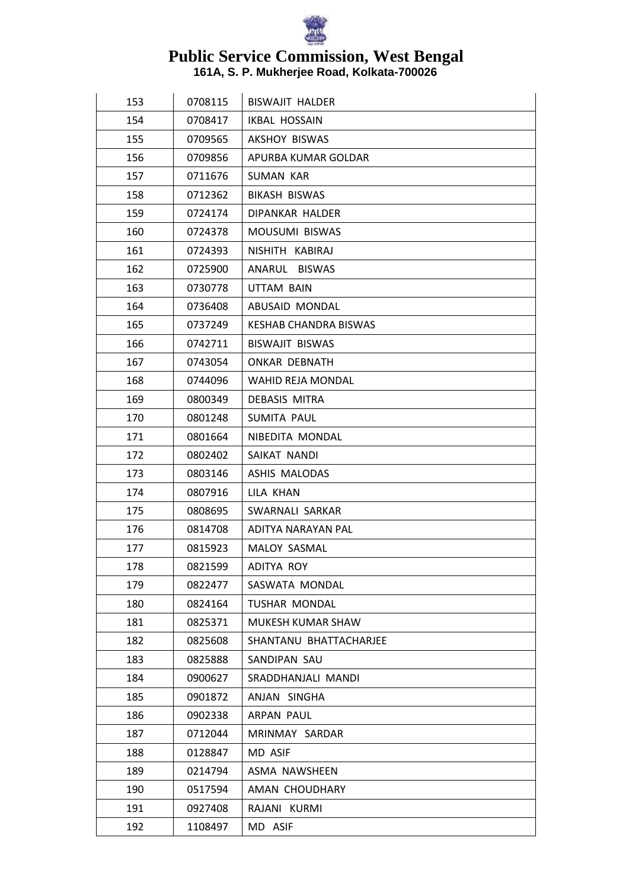

| 153 | 0708115 | <b>BISWAJIT HALDER</b>       |
|-----|---------|------------------------------|
| 154 | 0708417 | IKBAL HOSSAIN                |
| 155 | 0709565 | AKSHOY BISWAS                |
| 156 | 0709856 | APURBA KUMAR GOLDAR          |
| 157 | 0711676 | <b>SUMAN KAR</b>             |
| 158 | 0712362 | <b>BIKASH BISWAS</b>         |
| 159 | 0724174 | <b>DIPANKAR HALDER</b>       |
| 160 | 0724378 | <b>MOUSUMI BISWAS</b>        |
| 161 | 0724393 | NISHITH KABIRAJ              |
| 162 | 0725900 | ANARUL BISWAS                |
| 163 | 0730778 | <b>UTTAM BAIN</b>            |
| 164 | 0736408 | ABUSAID MONDAL               |
| 165 | 0737249 | <b>KESHAB CHANDRA BISWAS</b> |
| 166 | 0742711 | BISWAJIT BISWAS              |
| 167 | 0743054 | <b>ONKAR DEBNATH</b>         |
| 168 | 0744096 | WAHID REJA MONDAL            |
| 169 | 0800349 | DEBASIS MITRA                |
| 170 | 0801248 | SUMITA PAUL                  |
| 171 | 0801664 | NIBEDITA MONDAL              |
| 172 | 0802402 | SAIKAT NANDI                 |
| 173 | 0803146 | ASHIS MALODAS                |
| 174 | 0807916 | LILA KHAN                    |
| 175 | 0808695 | SWARNALI SARKAR              |
| 176 | 0814708 | ADITYA NARAYAN PAL           |
| 177 | 0815923 | MALOY SASMAL                 |
| 178 | 0821599 | ADITYA ROY                   |
| 179 | 0822477 | SASWATA MONDAL               |
| 180 | 0824164 | <b>TUSHAR MONDAL</b>         |
| 181 | 0825371 | MUKESH KUMAR SHAW            |
| 182 | 0825608 | SHANTANU BHATTACHARJEE       |
| 183 | 0825888 | SANDIPAN SAU                 |
| 184 | 0900627 | SRADDHANJALI MANDI           |
| 185 | 0901872 | ANJAN SINGHA                 |
| 186 | 0902338 | ARPAN PAUL                   |
| 187 | 0712044 | MRINMAY SARDAR               |
| 188 | 0128847 | MD ASIF                      |
| 189 | 0214794 | ASMA NAWSHEEN                |
| 190 | 0517594 | AMAN CHOUDHARY               |
| 191 | 0927408 | RAJANI KURMI                 |
| 192 | 1108497 | MD ASIF                      |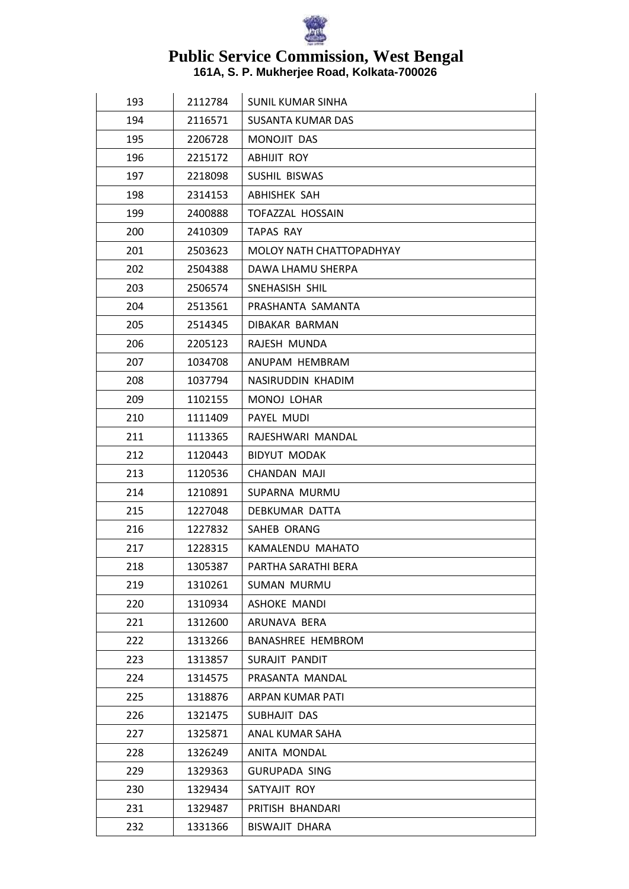

| 193 | 2112784 | <b>SUNIL KUMAR SINHA</b> |
|-----|---------|--------------------------|
| 194 | 2116571 | <b>SUSANTA KUMAR DAS</b> |
| 195 | 2206728 | MONOJIT DAS              |
| 196 | 2215172 | <b>ABHIJIT ROY</b>       |
| 197 | 2218098 | SUSHIL BISWAS            |
| 198 | 2314153 | ABHISHEK SAH             |
| 199 | 2400888 | <b>TOFAZZAL HOSSAIN</b>  |
| 200 | 2410309 | TAPAS RAY                |
| 201 | 2503623 | MOLOY NATH CHATTOPADHYAY |
| 202 | 2504388 | DAWA LHAMU SHERPA        |
| 203 | 2506574 | SNEHASISH SHIL           |
| 204 | 2513561 | PRASHANTA SAMANTA        |
| 205 | 2514345 | DIBAKAR BARMAN           |
| 206 | 2205123 | RAJESH MUNDA             |
| 207 | 1034708 | ANUPAM HEMBRAM           |
| 208 | 1037794 | NASIRUDDIN KHADIM        |
| 209 | 1102155 | MONOJ LOHAR              |
| 210 | 1111409 | PAYEL MUDI               |
| 211 | 1113365 | RAJESHWARI MANDAL        |
| 212 | 1120443 | <b>BIDYUT MODAK</b>      |
| 213 | 1120536 | CHANDAN MAJI             |
| 214 | 1210891 | SUPARNA MURMU            |
| 215 | 1227048 | DEBKUMAR DATTA           |
| 216 | 1227832 | SAHEB ORANG              |
| 217 | 1228315 | KAMALENDU MAHATO         |
| 218 | 1305387 | PARTHA SARATHI BERA      |
| 219 | 1310261 | <b>SUMAN MURMU</b>       |
| 220 | 1310934 | <b>ASHOKE MANDI</b>      |
| 221 | 1312600 | ARUNAVA BERA             |
| 222 | 1313266 | <b>BANASHREE HEMBROM</b> |
| 223 | 1313857 | SURAJIT PANDIT           |
| 224 | 1314575 | PRASANTA MANDAL          |
| 225 | 1318876 | ARPAN KUMAR PATI         |
| 226 | 1321475 | SUBHAJIT DAS             |
| 227 | 1325871 | ANAL KUMAR SAHA          |
| 228 | 1326249 | ANITA MONDAL             |
| 229 | 1329363 | <b>GURUPADA SING</b>     |
| 230 | 1329434 | SATYAJIT ROY             |
| 231 | 1329487 | PRITISH BHANDARI         |
| 232 | 1331366 | <b>BISWAJIT DHARA</b>    |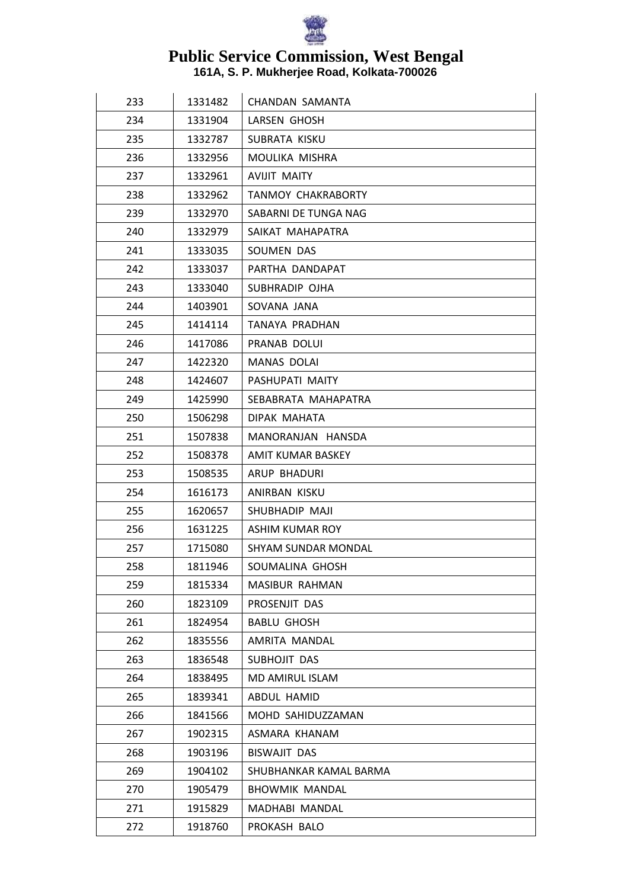

| 233 | 1331482 | CHANDAN SAMANTA            |
|-----|---------|----------------------------|
| 234 | 1331904 | LARSEN GHOSH               |
| 235 | 1332787 | SUBRATA KISKU              |
| 236 | 1332956 | MOULIKA MISHRA             |
| 237 | 1332961 | <b>AVIJIT MAITY</b>        |
| 238 | 1332962 | <b>TANMOY CHAKRABORTY</b>  |
| 239 | 1332970 | SABARNI DE TUNGA NAG       |
| 240 | 1332979 | SAIKAT MAHAPATRA           |
| 241 | 1333035 | SOUMEN DAS                 |
| 242 | 1333037 | PARTHA DANDAPAT            |
| 243 | 1333040 | SUBHRADIP OJHA             |
| 244 | 1403901 | SOVANA JANA                |
| 245 | 1414114 | TANAYA PRADHAN             |
| 246 | 1417086 | PRANAB DOLUI               |
| 247 | 1422320 | <b>MANAS DOLAI</b>         |
| 248 | 1424607 | PASHUPATI MAITY            |
| 249 | 1425990 | SEBABRATA MAHAPATRA        |
| 250 | 1506298 | DIPAK MAHATA               |
| 251 | 1507838 | MANORANJAN HANSDA          |
| 252 | 1508378 | AMIT KUMAR BASKEY          |
| 253 | 1508535 | ARUP BHADURI               |
| 254 | 1616173 | ANIRBAN KISKU              |
| 255 | 1620657 | SHUBHADIP MAJI             |
| 256 | 1631225 | ASHIM KUMAR ROY            |
| 257 | 1715080 | <b>SHYAM SUNDAR MONDAL</b> |
| 258 | 1811946 | SOUMALINA GHOSH            |
| 259 | 1815334 | MASIBUR RAHMAN             |
| 260 | 1823109 | PROSENJIT DAS              |
| 261 | 1824954 | <b>BABLU GHOSH</b>         |
| 262 | 1835556 | AMRITA MANDAL              |
| 263 | 1836548 | SUBHOJIT DAS               |
| 264 | 1838495 | MD AMIRUL ISLAM            |
| 265 | 1839341 | ABDUL HAMID                |
| 266 | 1841566 | MOHD SAHIDUZZAMAN          |
| 267 | 1902315 | ASMARA KHANAM              |
| 268 | 1903196 | <b>BISWAJIT DAS</b>        |
| 269 | 1904102 | SHUBHANKAR KAMAL BARMA     |
| 270 | 1905479 | <b>BHOWMIK MANDAL</b>      |
| 271 | 1915829 | MADHABI MANDAL             |
| 272 | 1918760 | PROKASH BALO               |